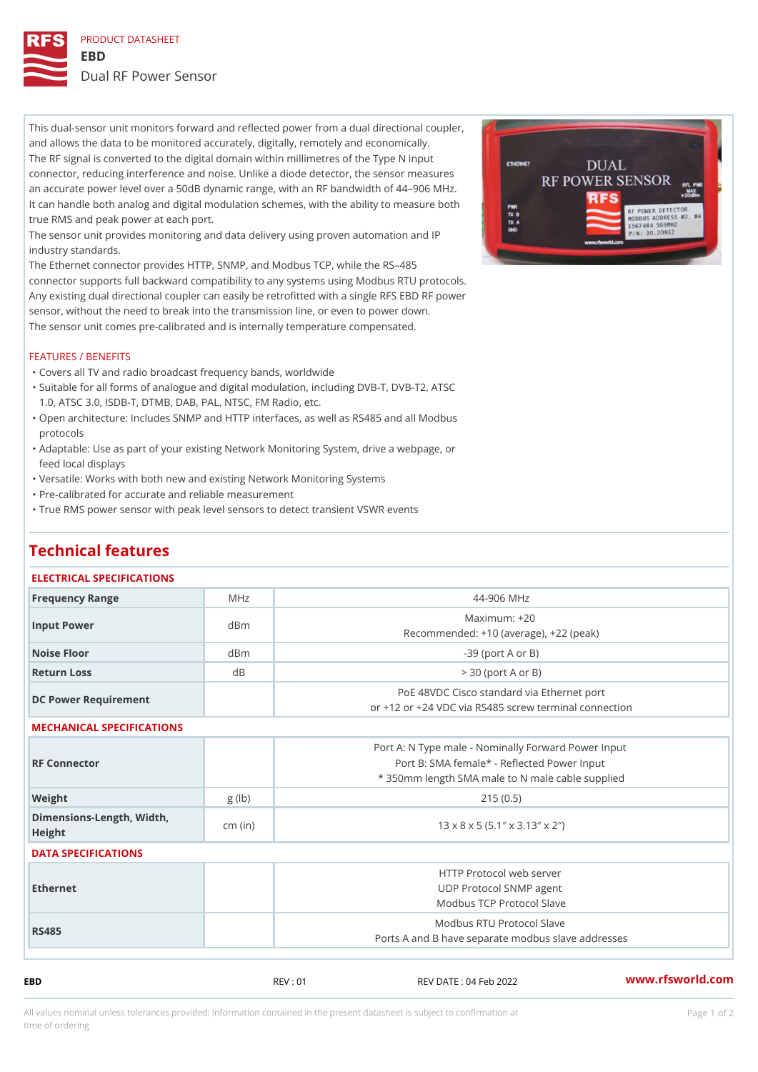PRODUCT DATASHEET EBD Dual RF Power Sensor

This dual-sensor unit monitors forward and reflected power from a dual directional coupler, and allows the data to be monitored accurately, digitally, remotely and economically. The RF signal is converted to the digital domain within millimetres of the Type N input connector, reducing interference and noise. Unlike a diode detector, the sensor measures an accurate power level over a 50dB dynamic range, with an RF bandwidth of 44 906 MHz. It can handle both analog and digital modulation schemes, with the ability to measure both true RMS and peak power at each port.

The sensor unit provides monitoring and data delivery using proven automation and IP industry standards.

The Ethernet connector provides HTTP, SNMP, and Modbus TCP, while the RS 485 connector supports full backward compatibility to any systems using Modbus RTU protocols. Any existing dual directional coupler can easily be retrofitted with a single RFS EBD RF power sensor, without the need to break into the transmission line, or even to power down. The sensor unit comes pre-calibrated and is internally temperature compensated.

## FEATURES / BENEFITS

"Covers all TV and radio broadcast frequency bands, worldwide

- Suitable for all forms of analogue and digital modulation, including DVB-T, DVB-T2, ATSC " 1.0, ATSC 3.0, ISDB-T, DTMB, DAB, PAL, NTSC, FM Radio, etc.
- Open architecture: Includes SNMP and HTTP interfaces, as well as RS485 and all Modbus " protocols
- Adaptable: Use as part of your existing Network Monitoring System, drive a webpage, or " feed local displays
- "Versatile: Works with both new and existing Network Monitoring Systems
- "Pre-calibrated for accurate and reliable measurement
- True RMS power sensor with peak level sensors to detect transient VSWR events "

| ELECTRICAL SPECIFICATIONS         |          |                                                     |
|-----------------------------------|----------|-----------------------------------------------------|
|                                   |          |                                                     |
| Frequency Range                   | MHz      | 44-906 MHz                                          |
| Input Power                       | $d$ B m  | $Maximum: +20$                                      |
|                                   |          | Recommended: +10 (average), +22 (peak)              |
| Noise Floor                       | $d$ B m  | $-39$ (port A or B)                                 |
| Return Loss                       | $d \, B$ | $> 30$ (port A or B)                                |
|                                   |          | PoE 48VDC Cisco standard via Ethernet port          |
| DC Power Requirement              |          | or +12 or +24 VDC via RS485 screw terminal connecti |
| MECHANICAL SPECIFICATIONS         |          |                                                     |
|                                   |          | Port A: N Type male - Nominally Forward Power Inpul |
| RF Connector                      |          | Port B: SMA female* - Reflected Power Input         |
|                                   |          | * 350mm length SMA male to N male cable supple      |
| Weight                            | $g$ (lb) | 215(0.5)                                            |
| Dimensions-Length, Wicth, cm (in) |          | 13 x 8 x 5 (5.13 x 3.133 x 23)                      |
| Height                            |          |                                                     |
| DATA SPECIFICATIONS               |          |                                                     |
|                                   |          | HTTP Protocol web server                            |
| Ethernet                          |          | UDP Protocol SNMP agent                             |
|                                   |          | Modbus TCP Protocol Slave                           |
|                                   |          | Modbus RTU Protocol Slave                           |
| RS485                             |          | Ports A and B have separate modbus slave addresse   |

EBD REV : 01 REV DATE : 04 Feb 2022 [www.](https://www.rfsworld.com)rfsworld.com